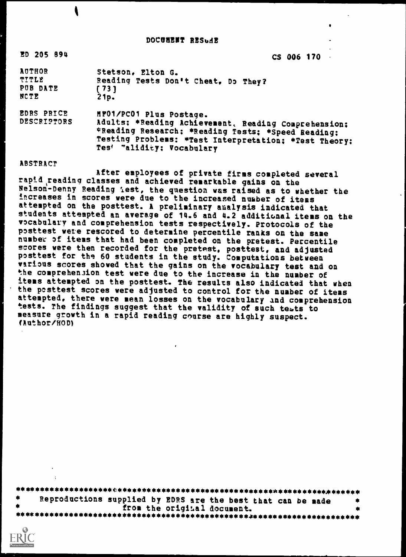DOCUMENT RESudE

ED 205 894 CS 006 170

| <b>AUTHOR</b>     | Stetson, Elton G.                   |
|-------------------|-------------------------------------|
| ጥፓጥቢጅ             | Reading Tests Don't Cheat, Do They? |
| PUB DATE          | 1731                                |
| NCTE              | 21p.                                |
| <b>EDRS PRICE</b> | MP01/PC01 Plus Postage.             |

DESCRI2TORS Adults: \*Reading Achievement, Reading Comprehension: \*Reading Research: \*Reading Tests; \*Speed Reading: Testing Problems: \*Test Interpretation: \*Test Theory: Tes<sup>'</sup> "alidity; Vocabulary

#### ABSTRACT

After employees of private firms completed several rapid reading classes and achieved remarkable gains on the Nelson-Denny Reading Test, the question was raised as to whether the increases in scores were due to the increased number of items attempted on the posttest. A preliminary analysis indicated that students attempted an average of 14.6 and 4.2 additional items on the vocabulary and comprehension tests respectively. Protocols of the posttest were rescored to determine percentile ranks on the same number of items that had been completed on the pretest. Percentile scores were then recorded for the pretest, posttest, and adjusted posttest for the 60 students in the study. Computations between various scores showed that the gains on the vocabulary test and on the comprehension test were due to the increase in the number of items attempted on the posttest. The results also indicated that when the posttest scores were adjusted to control for the number of items attempted, there were mean losses on the vocabulary and comprehension tests. The findings suggest that the validity of such tests to measure growth in a rapid reading course are highly suspect. !Author /HOD)

| Reproductions supplied by EDRS are the best that can be made |  |
|--------------------------------------------------------------|--|
| from the original document.                                  |  |
|                                                              |  |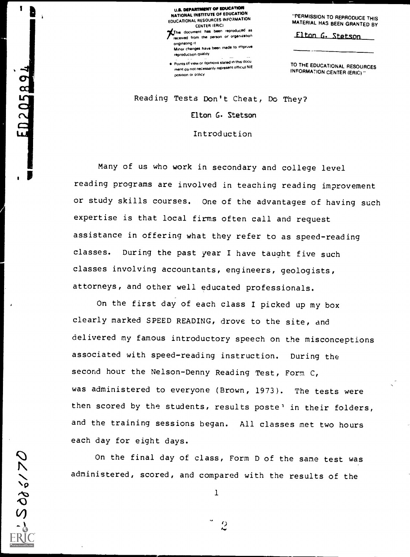U.S. DEPARTMENT OF EDUCATION<br>NATIONAL INSTITUTE OF EDUCATION EDUCATIONAL RESOURCES INFORMATION<br>CENTER (ERIC)

CENTER IERICI ?CREDIT ?CREDIT ?CREDIT ?CREDIT ?CREDIT ?CREDIT ?CREDIT ?CREDIT ?CREDIT ?CREDIT ?CREDIT ?CREDIT ?CREDIT ?CREDIT ?CREDIT ?CREDIT ?CREDIT ?CREDIT ?CREDIT ?CREDIT ?CREDIT ?CREDIT ?CREDIT ?CREDIT ?CREDIT ?CREDIT **...**<br>received from the person or organization.<br>originating it

originating it<br>Minor changes have been made to impruve reproduction quality

Points of view or opinions stated in this docu ment do not necessarily represent official NIE position Or policy

"PERMISSION TO REPRODUCE THIS MATERIAL HAS BEEN GRANTED BY

Elton G. Stetson

TO THE EDUCATIONAL RESOURCES INFORMATION CENTER (ERIC)

Reading Tests Don't Cheat, Do They?

Elton G. Stetson

Introduction

Many of us who work in secondary and college level reading programs are involved in teaching reading improvement or study skills courses. One of the advantages of having such expertise is that local firms often call and request assistance in offering what they refer to as speed-reading classes. During the past year I have taught five such classes involving accountants, engineers, geologists, attorneys, and other well educated professionals.

On the first day of each class I picked up my box clearly marked SPEED READING, drove to the site, and delivered my famous introductory speech on the misconceptions associated with speed-reading instruction. During the second hour the Nelson-Denny Reading Test, Form C, was administered to everyone (Brown, 1973). The tests were then scored by the students, results poste' in their folders, and the training sessions began. All classes met two hours each day for eight days.

On the final day of class, Form D of the same test was administered, scored, and compared with the results of the

1

5085170

1

ED205894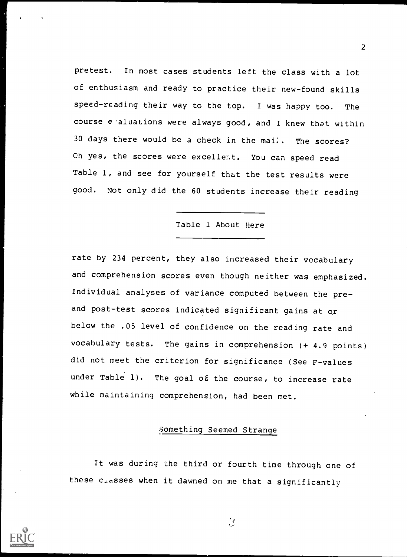pretest. In most cases students left the class with a lot of enthusiasm and ready to practice their new-found skills speed-reading their way to the top. I was happy too. The course e aluations were always good, and I knew that within 30 days there would be a check in the mai]. The scores? Oh yes, the scores were excellent. You can speed read Table 1, and see for yourself that the test results were good. Not only did the 60 students increase their reading

#### Table 1 About Here

rate by 234 percent, they also increased their vocabulary and comprehension scores even though neither was emphasized. Individual analyses of variance computed between the preand post-test scores indicated significant gains at or below the .05 level of confidence on the reading rate and vocabulary tests. The gains in comprehension (+ 4.9 points) did not meet the criterion for significance (See F-values under Table 1). The goal of the course, to increase rate while maintaining comprehension, had been met.

## Something Seemed Strange

It was during the third or fourth time through one of these  $c_{\perp}$ asses when it dawned on me that a significantly

 $\beta$ 

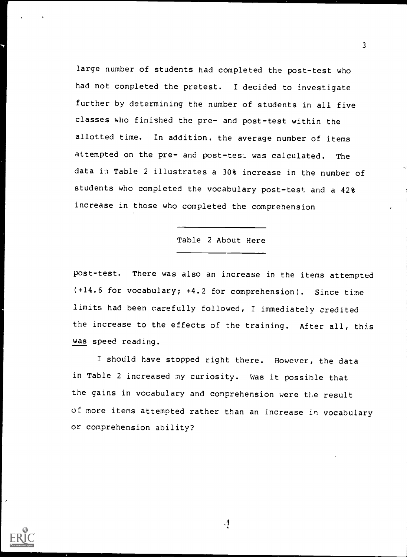large number of students had completed the post-test who had not completed the pretest. I decided to investigate further by determining the number of students in all five classes who finished the pre- and post-test within the allotted time. In addition, the average number of items attempted on the pre- and post-test was calculated. The data in Table 2 illustrates a 30% increase in the number of students who completed the vocabulary post-test and a 42% increase in those who completed the comprehension

#### Table 2 About Here

post-test. There was also an increase in the items attempted (+14.6 for vocabulary; +4.2 for comprehension). Since time limits had been carefully followed, I immediately credited the increase to the effects of the training. After all, this was speed reading.

I should have stopped right there. However, the data in Table 2 increased my curiosity. Was it possible that the gains in vocabulary and comprehension were the result of more items attempted rather than an increase in vocabulary or comprehension ability?



 $\cdot$ <sup>1</sup>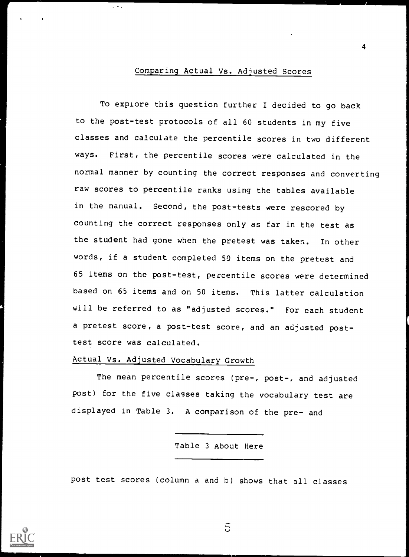#### Comparing Actual Vs. Adjusted Scores

To explore this question further I decided to go back to the post-test protocols of all 60 students in my five classes and calculate the percentile scores in two different ways. First, the percentile scores were calculated in the normal manner by counting the correct responses and converting raw scores to percentile ranks using the tables available in the manual. Second, the post-tests were rescored by counting the correct responses only as far in the test as the student had gone when the pretest was taken. In other words, if a student completed 50 items on the pretest and 65 items on the post-test, percentile scores were determined based on 65 items and on 50 items. This latter calculation will be referred to as "adjusted scores." For each student a pretest score, a post-test score, and an adjusted posttest score was calculated.

## Actual Vs. Adjusted Vocabulary Growth

 $\omega \sim 1$ 

The mean percentile scores (pre-, post-, and adjusted post) for the five classes taking the vocabulary test are displayed in Table 3. A comparison of the pre- and

Table 3 About Here

post test scores (column a and b) shows that all classes



 $\overline{5}$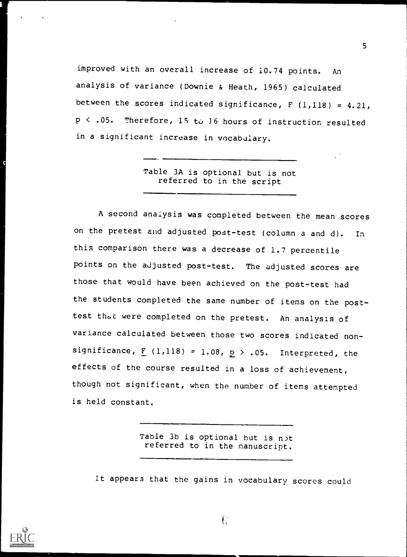improved with an overall increase of 10.74 points. An analysis of variance (Downie & Heath, 1965) calculated between the scores indicated significance,  $F(1,118) = 4.21$ ,  $p < .05$ . Therefore, 15 to 16 hours of instruction resulted in a significant increase in vocabulary.

> Table 3A is optional but is not referred to in the script

A second anaiysis was completed between the mean scores on the pretest and adjusted post-test (column a and d). In this comparison there was a decrease of 1.7 percentile points on the adjusted post-test. The adjusted scores are those that would have been achieved on the post-test had the students completed the same number of items on the posttest that were completed on the pretest. An analysis of variance calculated between those two scores indicated nonsignificance,  $F (1,118) = 1.08$ ,  $p > .05$ . Interpreted, the effects of the course resulted in a loss of achievement, though not significant, when the number of items attempted is held constant.

> Table 3b is optional but is n>t referred to in the manuscript.

It appears that the gains in vocabulary scores could



5

 $\int_{a}^{b}$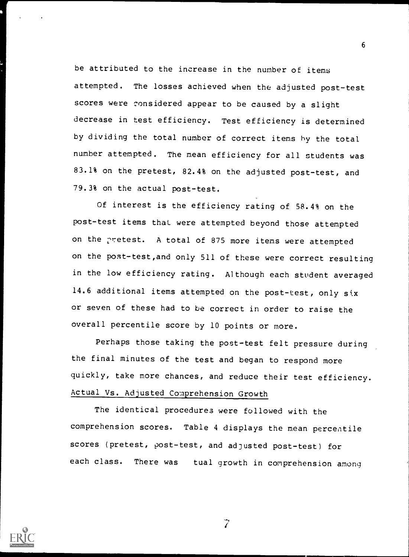be attributed to the increase in the number of items attempted. The losses achieved when the adjusted post-test scores were considered appear to be caused by a slight decrease in test efficiency. Test efficiency is determined by dividing the total number of correct items by the total number attempted. The mean efficiency for all students was 83.1% on the pretest, 82.4% on the adjusted post-test, and 79.3% on the actual post-test.

6

Of interest is the efficiency rating of 58.4% on the post-test items that were attempted beyond those attempted on the pretest. A total of 875 more items were attempted on the post-test,and only 511 of these were correct resulting in the low efficiency rating. Although each student averaged 14.6 additional items attempted on the post-test, only six or seven of these had to be correct in order to raise the overall percentile score by 10 points or more.

Perhaps those taking the post-test felt pressure during the final minutes of the test and began to respond more quickly, take more chances, and reduce their test efficiency. Actual Vs. Adjusted Comprehension Growth

The identical procedures were followed with the comprehension scores. Table 4 displays the mean percentile scores (pretest, post-test, and adjusted post-test) for each class. There was tual growth in comprehension among



 $\tilde{Z}$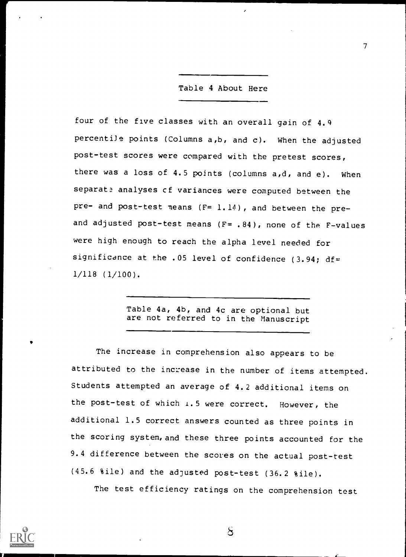### Table 4 About Here

 $T_{\rm{max}}$  and  $T_{\rm{max}}$ 

four of the five classes with an overall gain of 4.9 percentile points (Columns a,b, and c). When the adjusted post-test scores were compared with the pretest scores, there was a loss of 4.5 points (columns a,d, and e). When separate analyses of variances were computed between the pre- and post-test means (F= 1.14), and between the preand adjusted post-test means  $(F= .84)$ , none of the F-values were high enough to reach the alpha level needed for significance at the .05 level of confidence (3.94; df= 1/118 (1/100).

> Table 4a, 4b, and 4c are optional but are not referred to in the Manuscript

The increase in comprehension also appears to be attributed to the increase in the number of items attempted. Students attempted an average of 4.2 additional items on the post-test of which 1.5 were correct. However, the additional 1.5 correct answers counted as three points in the scoring system, and these three points accounted for the 9.4 difference between the scores on the actual post-test (45.6 %ile) and the adjusted post-test (36.2 %ile).

The test efficiency ratings on the comprehension test

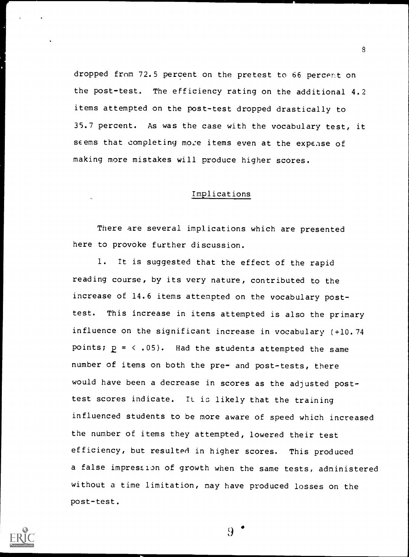dropped from 72.5 percent on the pretest to 66 percent on the post-test. The efficiency rating on the additional 4.2 items attempted on the post-test dropped drastically to 35.7 percent. As was the case with the vocabulary test, it seems that completing more items even at the expense of making more mistakes will produce higher scores.

#### Implications

There are several implications which are presented here to provoke further discussion.

1. It is suggested that the effect of the rapid reading course, by its very nature, contributed to the increase of 14.6 items attempted on the vocabulary posttest. This increase in items attempted is also the primary influence on the significant increase in vocabulary (+10.74 points;  $p = \langle .05 \rangle$ . Had the students attempted the same number of items on both the pre- and post-tests, there would have been a decrease in scores as the adjusted posttest scores indicate. It is likely that the training influenced students to be more aware of speed which increased the number of items they attempted, lowered their test efficiency, but resulted in higher scores. This produced a false impression of growth when the same tests, administered without a time limitation, may have produced losses on the post-test.

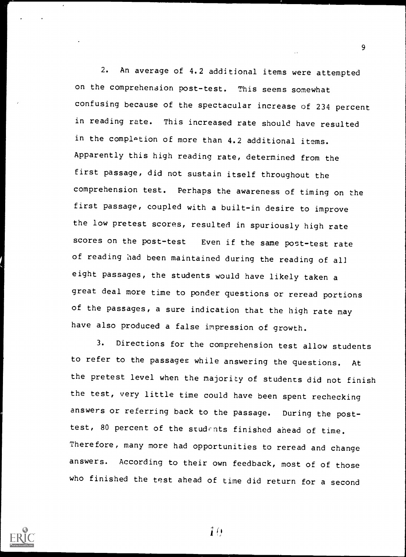2. An average of 4.2 additional items were attempted on the comprehension post-test. This seems somewhat confusing because of the spectacular increase of 234 percent in reading rate. This increased rate should have resulted in the completion of more than 4.2 additional items. Apparently this high reading rate, determined from the first passage, did not sustain itself throughout the comprehension test. Perhaps the awareness of timing on the first passage, coupled with a built-in desire to improve the low pretest scores, resulted in spuriously high rate scores on the post-test Even if the same post-test rate of reading had been maintained during the reading of all eight passages, the students would have likely taken <sup>a</sup> great deal more time to ponder questions or reread portions of the passages, a sure indication that the high rate may have also produced a false impression of growth.

3. Directions for the comprehension test allow students to refer to the passages while answering the questions. At the pretest level when the majority of students did not finish the test, very little time could have been spent rechecking answers or referring back to the passage. During the posttest, 80 percent of the students finished ahead of time. Therefore, many more had opportunities to reread and change answers. According to their own feedback, most of of those who finished the test ahead of time did return for a second



 $\mathbf{i}$  $\boldsymbol{\theta}$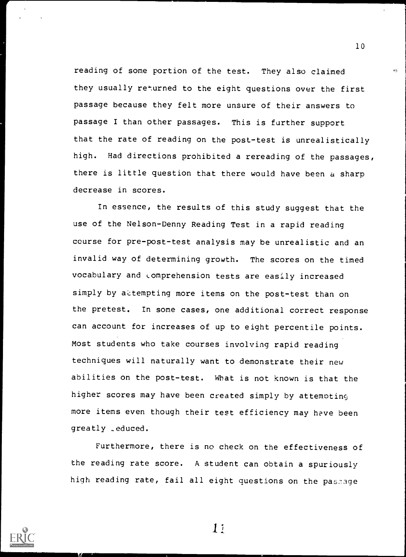reading of some portion of the test. They also claimed they usually returned to the eight questions over the first passage because they felt more unsure of their answers to passage I than other passages. This is further support that the rate of reading on the post-test is unrealistically high. Had directions prohibited a rereading of the passages, there is little question that there would have been a sharp decrease in scores.

In essence, the results of this study suggest that the use of the Nelson-Denny Reading Test in a rapid reading course for pre-post-test analysis may be unrealistic and an invalid way of determining growth. The scores on the timed vocabulary and comprehension tests are easily increased simply by attempting more items on the post-test than on the pretest. In some cases, one additional correct response can account for increases of up to eight percentile points. Most students who take courses involving rapid reading techniques will naturally want to demonstrate their new abilities on the post-test. What is not known is that the higher scores may have been created simply by attemoting more items even though their test efficiency may have been greatly .educed.

Furthermore, there is no check on the effectiveness of the reading rate score. A student can obtain a spuriously high reading rate, fail all eight questions on the passage



 $11$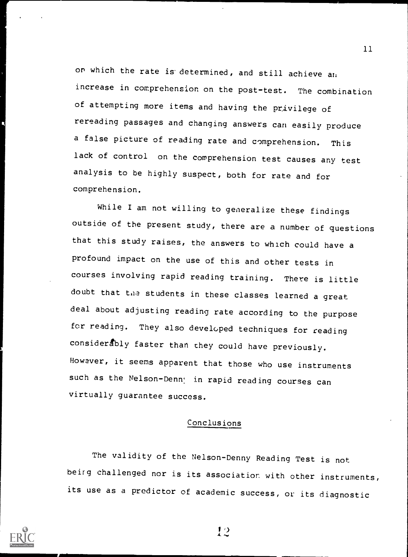on which the rate is determined, and still achieve an increase in comprehension on the post-test. The combination of attempting more items and having the privilege of rereading passages and changing answers can easily produce a false picture of reading rate and comprehension. This lack of control on the comprehension test causes any test analysis to be highly suspect, both for rate and for comprehension.

While I am not willing to generalize these findings outside of the present study, there are a number of questions that this study raises, the answers to which could have a profound impact on the use of this and other tests in courses involving rapid reading training. There is little doubt that the students in these classes learned a great deal about adjusting reading rate according to the purpose for reading. They also developed techniques for reading considerably faster than they could have previously. However, it seems apparent that those who use instruments such as the Nelson-Denny in rapid reading courses can virtually guarantee success.

## Conclusions

The validity of the Nelson-Denny Reading Test is not beirg challenged nor is its association with other instruments, its use as a predictor of academic success, or its diagnostic



12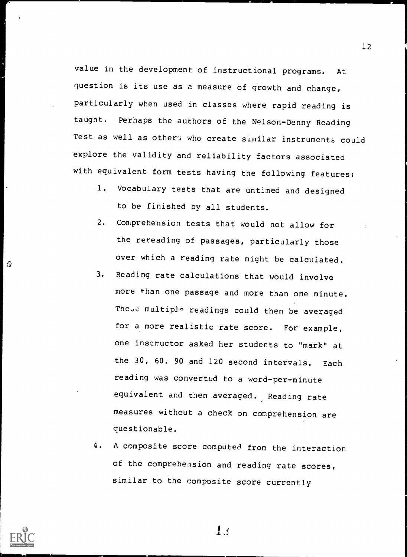value in the development of instructional programs. At question is its use as a measure of growth and change, particularly when used in classes where rapid reading is taught. Perhaps the authors of the Nelson-Denny Reading Test as well as others who create similar instruments could explore the validity and reliability factors associated with equivalent form tests having the following features:

- 1. Vocabulary tests that are untimed and designed to be finished by all students.
- 2. Comprehension tests that would not allow for the rereading of passages, particularly those over which a reading rate might be calculated.
- 3. Reading rate calculations that would involve more than one passage and more than one minute. These multiplo readings could then be averaged for a more realistic rate score. For example, one instructor asked her students to "mark" at the 30, 60, 90 and 120 second intervals. Each reading was converted to a word-per-minute equivalent and then averaged. Reading rate measures without a check on comprehension are questionable.
- 4. A composite score computed from the interaction of the comprehension and reading rate scores, similar to the composite score currently



€

i

 $\overline{1}$  1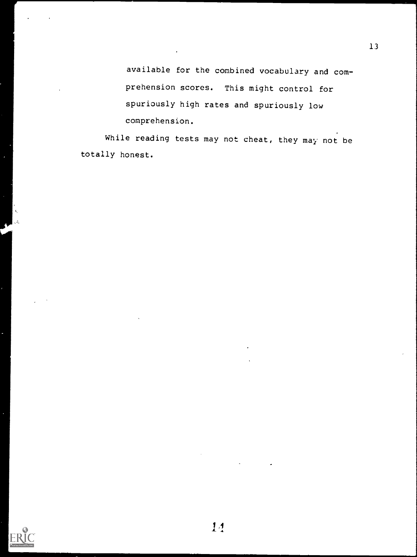available for the combined vocabulary and comprehension scores. This might control for spuriously high rates and spuriously low comprehension.

13

While reading tests may not cheat, they may not be totally honest.

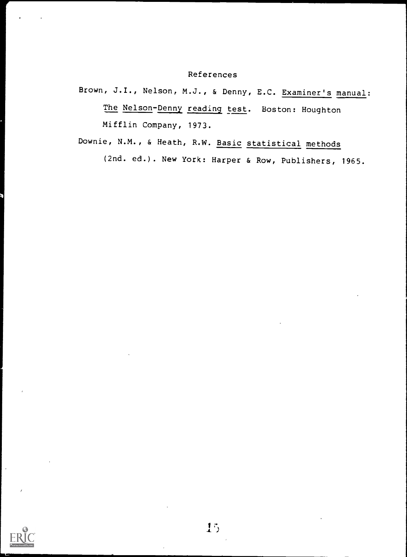## References

Brown, J.I., Nelson, M.J., & Denny, E.C. Examiner's manual: The Nelson-Denny reading test. Boston: Houghton Mifflin Company, 1973.

Downie, N.M., & Heath, R.W. Basic statistical methods (2nd. ed.). New York: Harper & Row, Publishers, 1965.

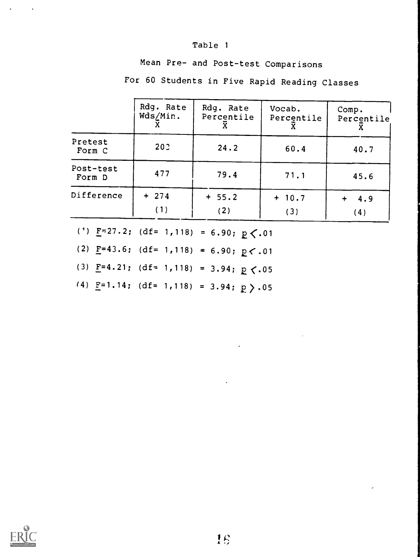## Table <sup>1</sup>

Mean Pre- and Post-test Comparisons

For 60 Students in Five Rapid Reading Classes

|                     | Rdg. Rate<br>Wds/Min. | Rdg. Rate<br>Percentile | Vocab.<br>Percentile | Comp.<br>Percentile |  |  |  |  |
|---------------------|-----------------------|-------------------------|----------------------|---------------------|--|--|--|--|
| Pretest<br>Form C   | 202                   | 24.2                    | 60.4                 | 40.7                |  |  |  |  |
| Post-test<br>Form D | 477                   | 79.4                    | 71.1                 | 45.6                |  |  |  |  |
| Difference          | $+ 274$<br>(1)        | $+ 55.2$<br>(2)         | $+ 10.7$<br>(3)      | 4.9<br>(4)          |  |  |  |  |

(1)  $E=27.2$ ; (df= 1,118) = 6.90;  $p \le .01$ 

(2)  $\underline{F} = 43.6$ ; (df= 1,118) = 6.90;  $\underline{p}$  < .01

(3)  $\underline{F} = 4.21$ ; (df= 1,118) = 3.94;  $\underline{p}$  <.05

(4)  $F=1.14$ ; (df= 1,118) = 3.94;  $P > 0.05$ 

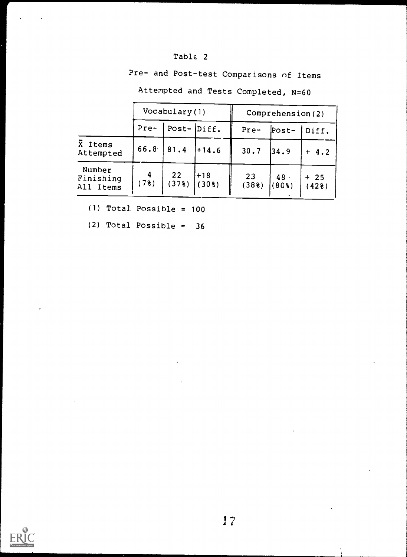Pre- and Post-test Comparisons of Items

|                                  |           | Vocabulary (1) |                |             | Comprehension (2) |                |  |
|----------------------------------|-----------|----------------|----------------|-------------|-------------------|----------------|--|
|                                  | Pre-      | Post- $Diff.$  |                | $Pre-$      | $Post-$           | Diff.          |  |
| $\bar{X}$ Items<br>Attempted     | 66.8      | 81.4           | $1+14.6$       | 30.7        | 34.9              | $+4.2$         |  |
| Number<br>Finishing<br>All Items | 4<br>(78) | 22<br>(378)    | $+18$<br>(308) | 23<br>(388) | 48.<br>$(80$ $)$  | $+25$<br>(428) |  |

Attempted and Tests Completed, N=60

(1) Total Possible <sup>=</sup> 100

(2) Total Possible =  $36$ 

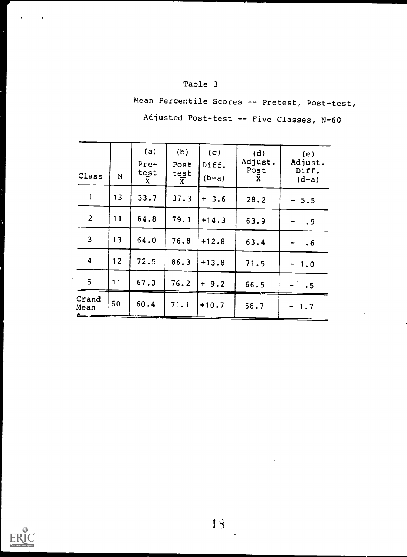## Table 3

Mean Percentile Scores -- Pretest, Post-test, Adjusted Post-test -- Five Classes, N=60

|                         |    | (a)<br>$Pre-$ | (b)<br>Post       | (c)<br>Diff. | (d)<br>Adjust. | (e)<br>Adjust.   |
|-------------------------|----|---------------|-------------------|--------------|----------------|------------------|
| Class                   | N  | test<br>X     | test<br>$\bar{x}$ | $(b-a)$      | Post<br>X      | Diff.<br>$(d-a)$ |
| $\mathbf{1}$            | 13 | 33.7          | 37.3              | $+ 3.6$      | 28.2           | $-5.5$           |
| $\overline{2}$          | 11 | 64.8          | 79.1              | $+14.3$      | 63.9           | .9               |
| $\overline{\mathbf{3}}$ | 13 | 64.0          | 76.8              | $+12.8$      | 63.4           | $\cdot 6$        |
| $\overline{\mathbf{4}}$ | 12 | 72.5          | 86.3              | $+13.8$      | 71.5           | $-1.0$           |
| 5 <sub>1</sub>          | 11 | 67.0          | 76.2              | $+9.2$       | 66.5           | .5               |
| Grand<br>Mean<br>± .    | 60 | 60.4          | 71.1              | $+10.7$      | 58.7           | $-1.7$           |

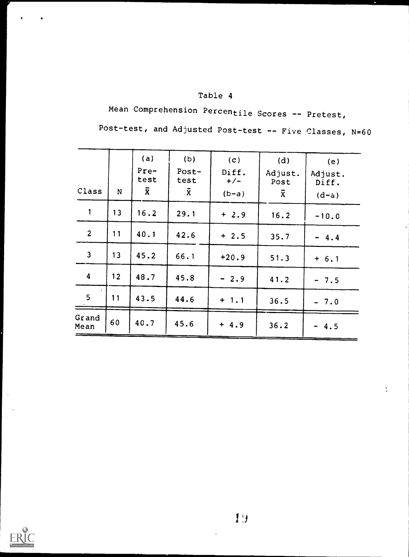# Table 4

Mean Comprehension Percentile Scores -- Pretest, Post-test, and Adjusted Post-test -- Five Classes, N=60

| Class                   | N  | (a)<br>$Pre-$<br>test<br>$\bar{x}$ | (b)<br>$Post-$<br>test<br>$\bar{x}$ | (c)<br>Diff.<br>$+/-$<br>$(b-a)$ | (d)<br>Adjust.<br>Post<br>$\bar{x}$ | (e)<br>Adjust.<br>Diff. |
|-------------------------|----|------------------------------------|-------------------------------------|----------------------------------|-------------------------------------|-------------------------|
| $\mathbf{1}$            | 13 | 16.2                               | 29.1                                | $+2.9$                           | 16.2                                | $(d-a)$<br>$-10.0$      |
| $\overline{2}$          | 11 | 40.1                               | 42.6                                | $+2.5$                           | 35.7                                | $-4.4$                  |
| $\overline{\mathbf{3}}$ | 13 | 45.2                               | 66.1                                | $+20.9$                          | 51.3                                | $+ 6.1$                 |
| $\overline{\mathbf{4}}$ | 12 | 48.7                               | 45.8                                | $-2.9$                           | 41.2                                | $-7.5$                  |
| 5 <sub>1</sub>          | 11 | 43.5                               | 44.6                                | $+ 1.1$                          | 36.5                                | $-7.0$                  |
| Grand<br>Mean           | 60 | 40.7                               | 45.6                                | $+4.9$                           | 36.2                                | 4.5                     |



 $\frac{1}{4}$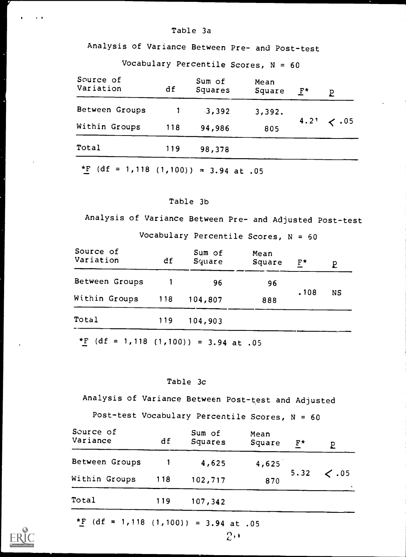#### Table 3a

Analysis of Variance Between Pre- and Post-test

Vocabulary Percentile Scores,  $N = 60$ 

| Source of<br>Variation | df  | Sum of<br>Squares | Mean<br>Square | $F^{\star}$ | p               |
|------------------------|-----|-------------------|----------------|-------------|-----------------|
| Between Groups         |     | $-3,392$          | 3,392.         |             |                 |
| Within Groups          | 118 | 94,986            | 805            |             | $4.21 \div .05$ |
| Total                  | 119 | 98,378            |                |             |                 |
|                        |     |                   |                |             |                 |

\*F (df = 1,118 (1,100)) = 3.94 at .05

## Table 3b

Analysis of Variance Between Pre- and Adjusted Post-test

Vocabulary Percentile Scores,  $N = 60$ 

| Source of<br>Variation | df  | Sum of<br>Square | Mean<br>Square | $F^{\star}$ | p  |
|------------------------|-----|------------------|----------------|-------------|----|
| Between Groups         |     | 96               | 96             |             |    |
| Within Groups          | 118 | 104,807          | 888            | .108        | NS |
| Total                  | 119 | 104,903          |                |             |    |
|                        |     |                  |                |             |    |

\*F  $(df = 1,118 (1,100)) = 3.94$  at .05

#### Table 3c

Analysis of Variance Between Post-test and Adjusted

Post-test Vocabulary Percentile Scores, N = 60

| Source of<br>Variance | df  | Sum of<br>Squares | Mean<br>Square | $F^{\star}$ |                                   |
|-----------------------|-----|-------------------|----------------|-------------|-----------------------------------|
| Between Groups        |     | 4,625             | 4,625          |             |                                   |
| Within Groups         | 118 | 102,717           | 870            | 5.32        | $\langle .05 \rangle$<br>$\gamma$ |
| Total                 | 119 | 107,342           |                |             |                                   |
|                       |     |                   |                |             |                                   |

 $2.1$ 

\*F (df = 1,118 (1,100)) = 3.94 at .05